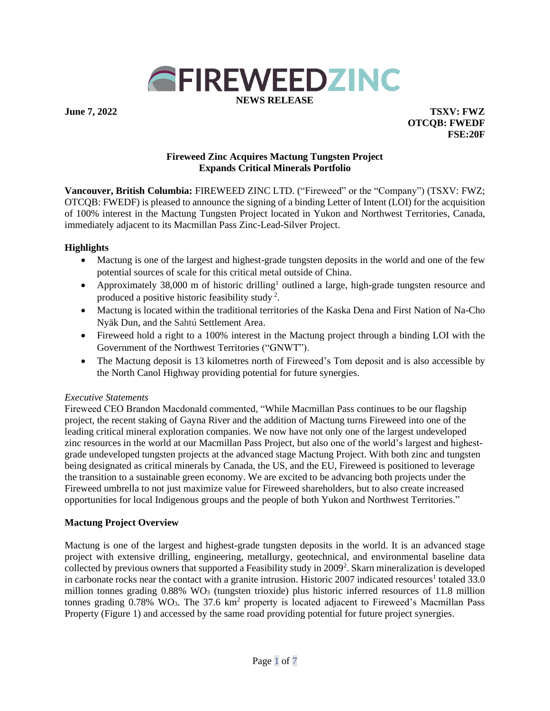

**June 7, 2022 TSXV: FWZ OTCQB: FWEDF FSE:20F**

#### **Fireweed Zinc Acquires Mactung Tungsten Project Expands Critical Minerals Portfolio**

**Vancouver, British Columbia:** FIREWEED ZINC LTD. ("Fireweed" or the "Company") (TSXV: FWZ; OTCQB: FWEDF) is pleased to announce the signing of a binding Letter of Intent (LOI) for the acquisition of 100% interest in the Mactung Tungsten Project located in Yukon and Northwest Territories, Canada, immediately adjacent to its Macmillan Pass Zinc-Lead-Silver Project.

#### **Highlights**

- Mactung is one of the largest and highest-grade tungsten deposits in the world and one of the few potential sources of scale for this critical metal outside of China.
- Approximately 38,000 m of historic drilling<sup>1</sup> outlined a large, high-grade tungsten resource and produced a positive historic feasibility study<sup>2</sup>.
- Mactung is located within the traditional territories of the Kaska Dena and First Nation of Na-Cho Nyäk Dun, and the Sahtú Settlement Area.
- Fireweed hold a right to a 100% interest in the Mactung project through a binding LOI with the Government of the Northwest Territories ("GNWT").
- The Mactung deposit is 13 kilometres north of Fireweed's Tom deposit and is also accessible by the North Canol Highway providing potential for future synergies.

# *Executive Statements*

Fireweed CEO Brandon Macdonald commented, "While Macmillan Pass continues to be our flagship project, the recent staking of Gayna River and the addition of Mactung turns Fireweed into one of the leading critical mineral exploration companies. We now have not only one of the largest undeveloped zinc resources in the world at our Macmillan Pass Project, but also one of the world's largest and highestgrade undeveloped tungsten projects at the advanced stage Mactung Project. With both zinc and tungsten being designated as critical minerals by Canada, the US, and the EU, Fireweed is positioned to leverage the transition to a sustainable green economy. We are excited to be advancing both projects under the Fireweed umbrella to not just maximize value for Fireweed shareholders, but to also create increased opportunities for local Indigenous groups and the people of both Yukon and Northwest Territories."

# **Mactung Project Overview**

Mactung is one of the largest and highest-grade tungsten deposits in the world. It is an advanced stage project with extensive drilling, engineering, metallurgy, geotechnical, and environmental baseline data collected by previous owners that supported a Feasibility study in 2009<sup>2</sup>. Skarn mineralization is developed in carbonate rocks near the contact with a granite intrusion. Historic 2007 indicated resources<sup>1</sup> totaled 33.0 million tonnes grading  $0.88\%$  WO<sub>3</sub> (tungsten trioxide) plus historic inferred resources of 11.8 million tonnes grading 0.78% WO<sub>3</sub>. The 37.6 km<sup>2</sup> property is located adjacent to Fireweed's Macmillan Pass Property (Figure 1) and accessed by the same road providing potential for future project synergies.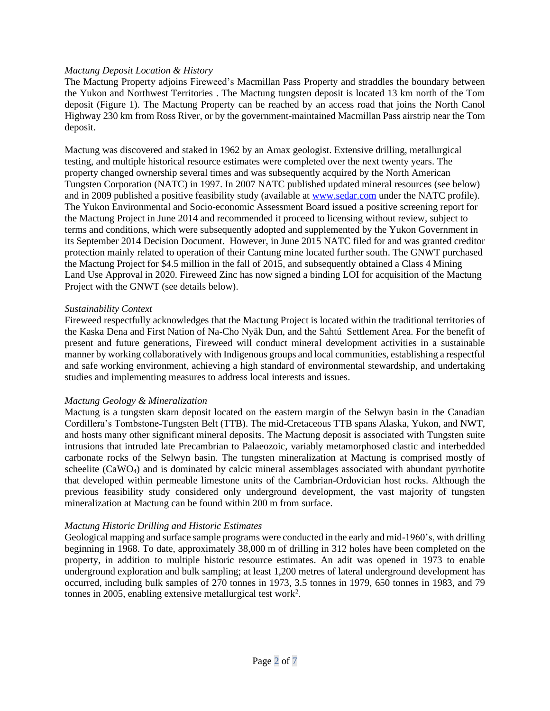#### *Mactung Deposit Location & History*

The Mactung Property adjoins Fireweed's Macmillan Pass Property and straddles the boundary between the Yukon and Northwest Territories . The Mactung tungsten deposit is located 13 km north of the Tom deposit (Figure 1). The Mactung Property can be reached by an access road that joins the North Canol Highway 230 km from Ross River, or by the government-maintained Macmillan Pass airstrip near the Tom deposit.

Mactung was discovered and staked in 1962 by an Amax geologist. Extensive drilling, metallurgical testing, and multiple historical resource estimates were completed over the next twenty years. The property changed ownership several times and was subsequently acquired by the North American Tungsten Corporation (NATC) in 1997. In 2007 NATC published updated mineral resources (see below) and in 2009 published a positive feasibility study (available at [www.sedar.com](http://www.sedar.com/) under the NATC profile). The Yukon Environmental and Socio-economic Assessment Board issued a positive screening report for the Mactung Project in June 2014 and recommended it proceed to licensing without review, subject to terms and conditions, which were subsequently adopted and supplemented by the Yukon Government in its September 2014 Decision Document. However, in June 2015 NATC filed for and was granted creditor protection mainly related to operation of their Cantung mine located further south. The GNWT purchased the Mactung Project for \$4.5 million in the fall of 2015, and subsequently obtained a Class 4 Mining Land Use Approval in 2020. Fireweed Zinc has now signed a binding LOI for acquisition of the Mactung Project with the GNWT (see details below).

#### *Sustainability Context*

Fireweed respectfully acknowledges that the Mactung Project is located within the traditional territories of the Kaska Dena and First Nation of Na-Cho Nyäk Dun, and the Sahtú Settlement Area. For the benefit of present and future generations, Fireweed will conduct mineral development activities in a sustainable manner by working collaboratively with Indigenous groups and local communities, establishing a respectful and safe working environment, achieving a high standard of environmental stewardship, and undertaking studies and implementing measures to address local interests and issues.

#### *Mactung Geology & Mineralization*

Mactung is a tungsten skarn deposit located on the eastern margin of the Selwyn basin in the Canadian Cordillera's Tombstone-Tungsten Belt (TTB). The mid-Cretaceous TTB spans Alaska, Yukon, and NWT, and hosts many other significant mineral deposits. The Mactung deposit is associated with Tungsten suite intrusions that intruded late Precambrian to Palaeozoic, variably metamorphosed clastic and interbedded carbonate rocks of the Selwyn basin. The tungsten mineralization at Mactung is comprised mostly of scheelite (CaWO4) and is dominated by calcic mineral assemblages associated with abundant pyrrhotite that developed within permeable limestone units of the Cambrian-Ordovician host rocks. Although the previous feasibility study considered only underground development, the vast majority of tungsten mineralization at Mactung can be found within 200 m from surface.

# *Mactung Historic Drilling and Historic Estimates*

Geological mapping and surface sample programs were conducted in the early and mid-1960's, with drilling beginning in 1968. To date, approximately 38,000 m of drilling in 312 holes have been completed on the property, in addition to multiple historic resource estimates. An adit was opened in 1973 to enable underground exploration and bulk sampling; at least 1,200 metres of lateral underground development has occurred, including bulk samples of 270 tonnes in 1973, 3.5 tonnes in 1979, 650 tonnes in 1983, and 79 tonnes in 2005, enabling extensive metallurgical test work<sup>2</sup>.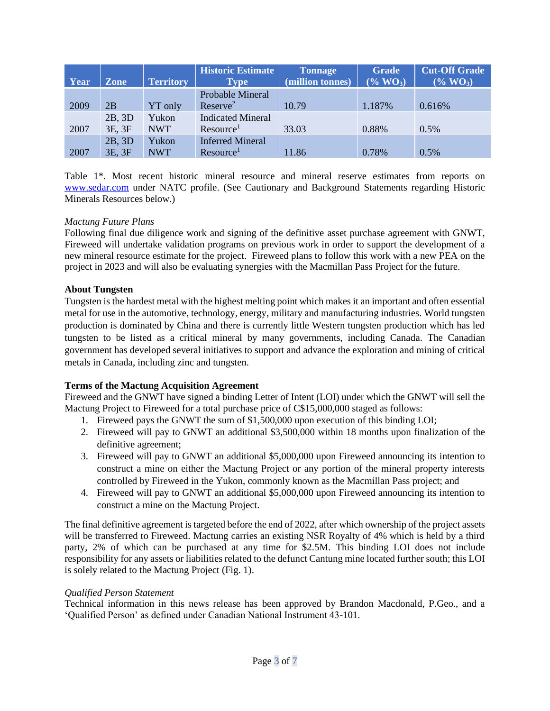| Year | <b>Zone</b>      | <b>Territory</b>    | <b>Historic Estimate</b><br>Type <sup>1</sup>     | <b>Tonnage</b><br>(million tonnes) | <b>Grade</b><br>$(\%$ WO <sub>3</sub> ) | <b>Cut-Off Grade</b><br>$(*6 WO3)$ |
|------|------------------|---------------------|---------------------------------------------------|------------------------------------|-----------------------------------------|------------------------------------|
| 2009 | 2B               | <b>YT</b> only      | Probable Mineral<br>Reserve <sup>2</sup>          | 10.79                              | 1.187%                                  | 0.616%                             |
| 2007 | 2B, 3D<br>3E, 3F | Yukon<br><b>NWT</b> | <b>Indicated Mineral</b><br>Resource <sup>1</sup> | 33.03                              | 0.88%                                   | 0.5%                               |
| 2007 | 2B, 3D<br>3E, 3F | Yukon<br><b>NWT</b> | <b>Inferred Mineral</b><br>Resource <sup>1</sup>  | 11.86                              | 0.78%                                   | 0.5%                               |

Table 1\*. Most recent historic mineral resource and mineral reserve estimates from reports on [www.sedar.com](http://www.sedar.com/) under NATC profile. (See Cautionary and Background Statements regarding Historic Minerals Resources below.)

# *Mactung Future Plans*

Following final due diligence work and signing of the definitive asset purchase agreement with GNWT, Fireweed will undertake validation programs on previous work in order to support the development of a new mineral resource estimate for the project. Fireweed plans to follow this work with a new PEA on the project in 2023 and will also be evaluating synergies with the Macmillan Pass Project for the future.

# **About Tungsten**

Tungsten is the hardest metal with the highest melting point which makes it an important and often essential metal for use in the automotive, technology, energy, military and manufacturing industries. World tungsten production is dominated by China and there is currently little Western tungsten production which has led tungsten to be listed as a critical mineral by many governments, including Canada. The Canadian government has developed several initiatives to support and advance the exploration and mining of critical metals in Canada, including zinc and tungsten.

# **Terms of the Mactung Acquisition Agreement**

Fireweed and the GNWT have signed a binding Letter of Intent (LOI) under which the GNWT will sell the Mactung Project to Fireweed for a total purchase price of C\$15,000,000 staged as follows:

- 1. Fireweed pays the GNWT the sum of \$1,500,000 upon execution of this binding LOI;
- 2. Fireweed will pay to GNWT an additional \$3,500,000 within 18 months upon finalization of the definitive agreement;
- 3. Fireweed will pay to GNWT an additional \$5,000,000 upon Fireweed announcing its intention to construct a mine on either the Mactung Project or any portion of the mineral property interests controlled by Fireweed in the Yukon, commonly known as the Macmillan Pass project; and
- 4. Fireweed will pay to GNWT an additional \$5,000,000 upon Fireweed announcing its intention to construct a mine on the Mactung Project.

The final definitive agreement is targeted before the end of 2022, after which ownership of the project assets will be transferred to Fireweed. Mactung carries an existing NSR Royalty of 4% which is held by a third party, 2% of which can be purchased at any time for \$2.5M. This binding LOI does not include responsibility for any assets or liabilities related to the defunct Cantung mine located further south; this LOI is solely related to the Mactung Project (Fig. 1).

# *Qualified Person Statement*

Technical information in this news release has been approved by Brandon Macdonald, P.Geo., and a 'Qualified Person' as defined under Canadian National Instrument 43-101.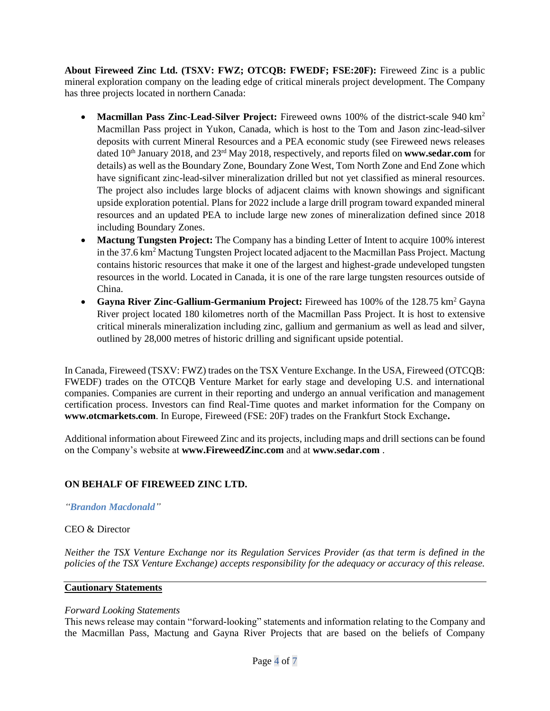**About Fireweed Zinc Ltd. (TSXV: FWZ; OTCQB: FWEDF; FSE:20F):** Fireweed Zinc is a public mineral exploration company on the leading edge of critical minerals project development. The Company has three projects located in northern Canada:

- **Macmillan Pass Zinc-Lead-Silver Project:** Fireweed owns 100% of the district-scale 940 km<sup>2</sup> Macmillan Pass project in Yukon, Canada, which is host to the Tom and Jason zinc-lead-silver deposits with current Mineral Resources and a PEA economic study (see Fireweed news releases dated 10<sup>th</sup> January 2018, and 23<sup>rd</sup> May 2018, respectively, and reports filed on **www.sedar.com** for details) as well as the Boundary Zone, Boundary Zone West, Tom North Zone and End Zone which have significant zinc-lead-silver mineralization drilled but not yet classified as mineral resources. The project also includes large blocks of adjacent claims with known showings and significant upside exploration potential. Plans for 2022 include a large drill program toward expanded mineral resources and an updated PEA to include large new zones of mineralization defined since 2018 including Boundary Zones.
- **Mactung Tungsten Project:** The Company has a binding Letter of Intent to acquire 100% interest in the 37.6 km<sup>2</sup> Mactung Tungsten Project located adjacent to the Macmillan Pass Project. Mactung contains historic resources that make it one of the largest and highest-grade undeveloped tungsten resources in the world. Located in Canada, it is one of the rare large tungsten resources outside of China.
- **Gayna River Zinc-Gallium-Germanium Project:** Fireweed has 100% of the 128.75 km<sup>2</sup> Gayna River project located 180 kilometres north of the Macmillan Pass Project. It is host to extensive critical minerals mineralization including zinc, gallium and germanium as well as lead and silver, outlined by 28,000 metres of historic drilling and significant upside potential.

In Canada, Fireweed (TSXV: FWZ) trades on the TSX Venture Exchange. In the USA, Fireweed (OTCQB: FWEDF) trades on the OTCQB Venture Market for early stage and developing U.S. and international companies. Companies are current in their reporting and undergo an annual verification and management certification process. Investors can find Real-Time quotes and market information for the Company on **www.otcmarkets.com**. In Europe, Fireweed (FSE: 20F) trades on the Frankfurt Stock Exchange**.**

Additional information about Fireweed Zinc and its projects, including maps and drill sections can be found on the Company's website at **www.FireweedZinc.com** and at **www.sedar.com** .

# **ON BEHALF OF FIREWEED ZINC LTD.**

#### *"Brandon Macdonald"*

# CEO & Director

*Neither the TSX Venture Exchange nor its Regulation Services Provider (as that term is defined in the policies of the TSX Venture Exchange) accepts responsibility for the adequacy or accuracy of this release.*

# **Cautionary Statements**

# *Forward Looking Statements*

This news release may contain "forward-looking" statements and information relating to the Company and the Macmillan Pass, Mactung and Gayna River Projects that are based on the beliefs of Company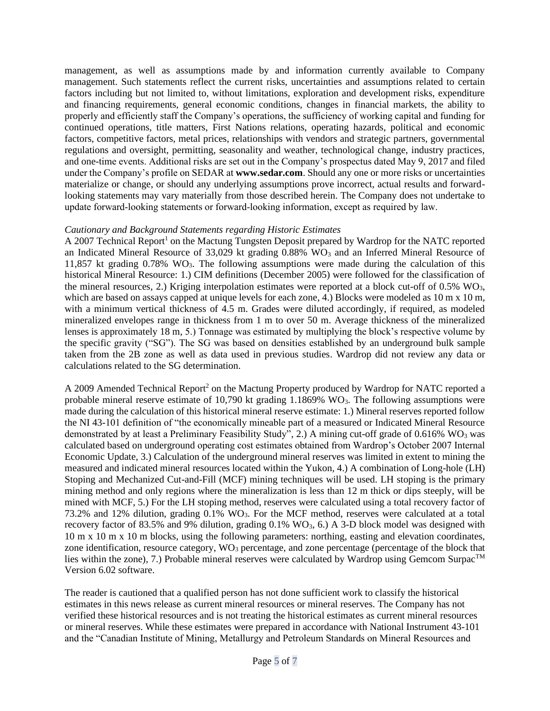management, as well as assumptions made by and information currently available to Company management. Such statements reflect the current risks, uncertainties and assumptions related to certain factors including but not limited to, without limitations, exploration and development risks, expenditure and financing requirements, general economic conditions, changes in financial markets, the ability to properly and efficiently staff the Company's operations, the sufficiency of working capital and funding for continued operations, title matters, First Nations relations, operating hazards, political and economic factors, competitive factors, metal prices, relationships with vendors and strategic partners, governmental regulations and oversight, permitting, seasonality and weather, technological change, industry practices, and one-time events. Additional risks are set out in the Company's prospectus dated May 9, 2017 and filed under the Company's profile on SEDAR at **www.sedar.com**. Should any one or more risks or uncertainties materialize or change, or should any underlying assumptions prove incorrect, actual results and forwardlooking statements may vary materially from those described herein. The Company does not undertake to update forward‐looking statements or forward‐looking information, except as required by law.

#### *Cautionary and Background Statements regarding Historic Estimates*

A 2007 Technical Report<sup>1</sup> on the Mactung Tungsten Deposit prepared by Wardrop for the NATC reported an Indicated Mineral Resource of  $33,029$  kt grading 0.88% WO<sub>3</sub> and an Inferred Mineral Resource of 11,857 kt grading  $0.78\%$  WO<sub>3</sub>. The following assumptions were made during the calculation of this historical Mineral Resource: 1.) CIM definitions (December 2005) were followed for the classification of the mineral resources, 2.) Kriging interpolation estimates were reported at a block cut-off of  $0.5\%$  WO<sub>3</sub>, which are based on assays capped at unique levels for each zone, 4.) Blocks were modeled as 10 m x 10 m, with a minimum vertical thickness of 4.5 m. Grades were diluted accordingly, if required, as modeled mineralized envelopes range in thickness from 1 m to over 50 m. Average thickness of the mineralized lenses is approximately 18 m, 5.) Tonnage was estimated by multiplying the block's respective volume by the specific gravity ("SG"). The SG was based on densities established by an underground bulk sample taken from the 2B zone as well as data used in previous studies. Wardrop did not review any data or calculations related to the SG determination.

A 2009 Amended Technical Report<sup>2</sup> on the Mactung Property produced by Wardrop for NATC reported a probable mineral reserve estimate of 10,790 kt grading 1.1869% WO<sub>3</sub>. The following assumptions were made during the calculation of this historical mineral reserve estimate: 1.) Mineral reserves reported follow the NI 43-101 definition of "the economically mineable part of a measured or Indicated Mineral Resource demonstrated by at least a Preliminary Feasibility Study", 2.) A mining cut-off grade of 0.616% WO<sub>3</sub> was calculated based on underground operating cost estimates obtained from Wardrop's October 2007 Internal Economic Update, 3.) Calculation of the underground mineral reserves was limited in extent to mining the measured and indicated mineral resources located within the Yukon, 4.) A combination of Long-hole (LH) Stoping and Mechanized Cut-and-Fill (MCF) mining techniques will be used. LH stoping is the primary mining method and only regions where the mineralization is less than 12 m thick or dips steeply, will be mined with MCF, 5.) For the LH stoping method, reserves were calculated using a total recovery factor of 73.2% and 12% dilution, grading 0.1% WO3. For the MCF method, reserves were calculated at a total recovery factor of 83.5% and 9% dilution, grading  $0.1\%$  WO<sub>3</sub>, 6.) A 3-D block model was designed with 10 m x 10 m x 10 m blocks, using the following parameters: northing, easting and elevation coordinates, zone identification, resource category,  $WO_3$  percentage, and zone percentage (percentage of the block that lies within the zone), 7.) Probable mineral reserves were calculated by Wardrop using Gemcom Surpac<sup>TM</sup> Version 6.02 software.

The reader is cautioned that a qualified person has not done sufficient work to classify the historical estimates in this news release as current mineral resources or mineral reserves. The Company has not verified these historical resources and is not treating the historical estimates as current mineral resources or mineral reserves. While these estimates were prepared in accordance with National Instrument 43-101 and the "Canadian Institute of Mining, Metallurgy and Petroleum Standards on Mineral Resources and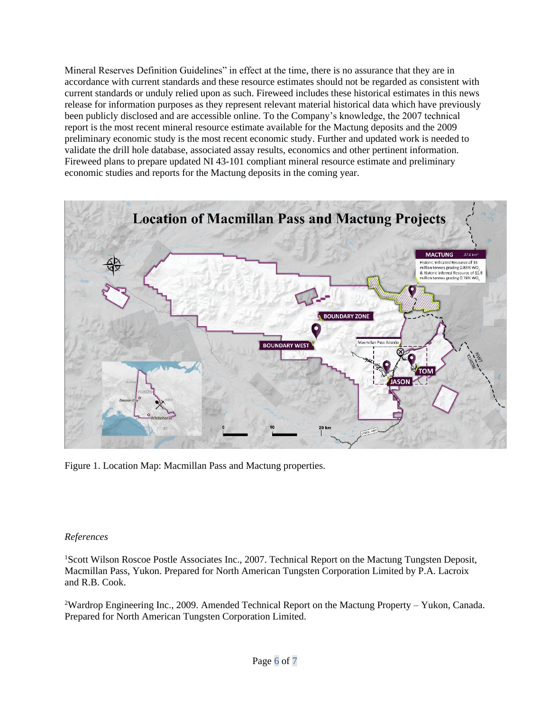Mineral Reserves Definition Guidelines" in effect at the time, there is no assurance that they are in accordance with current standards and these resource estimates should not be regarded as consistent with current standards or unduly relied upon as such. Fireweed includes these historical estimates in this news release for information purposes as they represent relevant material historical data which have previously been publicly disclosed and are accessible online. To the Company's knowledge, the 2007 technical report is the most recent mineral resource estimate available for the Mactung deposits and the 2009 preliminary economic study is the most recent economic study. Further and updated work is needed to validate the drill hole database, associated assay results, economics and other pertinent information. Fireweed plans to prepare updated NI 43-101 compliant mineral resource estimate and preliminary economic studies and reports for the Mactung deposits in the coming year.



Figure 1. Location Map: Macmillan Pass and Mactung properties.

#### *References*

<sup>1</sup>Scott Wilson Roscoe Postle Associates Inc., 2007. Technical Report on the Mactung Tungsten Deposit, Macmillan Pass, Yukon. Prepared for North American Tungsten Corporation Limited by P.A. Lacroix and R.B. Cook.

<sup>2</sup>Wardrop Engineering Inc., 2009. Amended Technical Report on the Mactung Property – Yukon, Canada. Prepared for North American Tungsten Corporation Limited.